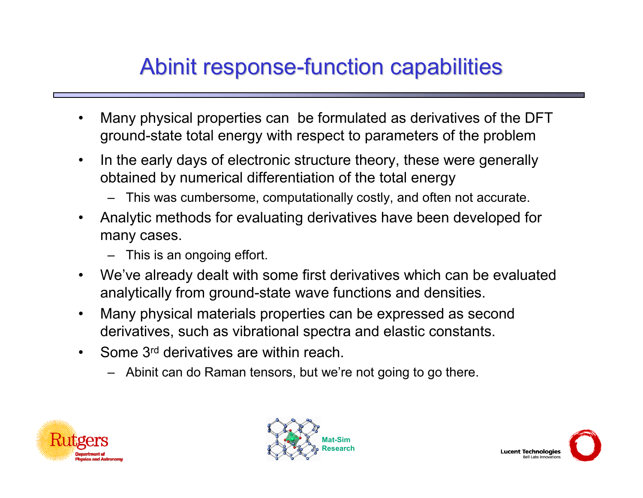# Abinit response-function capabilities

- $\bullet$  Many physical properties can be formulated as derivatives of the DFT ground-state total energy with respect to parameters of the problem
- $\bullet$  In the early days of electronic structure theory, these were generally obtained by numerical differentiation of the total energy
	- This was cumbersome, computationally costly, and often not accurate.
- • Analytic methods for evaluating derivatives have been developed for many cases.
	- This is an ongoing effort.
- • We've already dealt with some first derivatives which can be evaluated analytically from ground-state wave functions and densities.
- • Many physical materials properties can be expressed as second derivatives, such as vibrational spectra and elastic constants.
- • Some 3rd derivatives are within reach.
	- Abinit can do Raman tensors, but we're not going to go there.





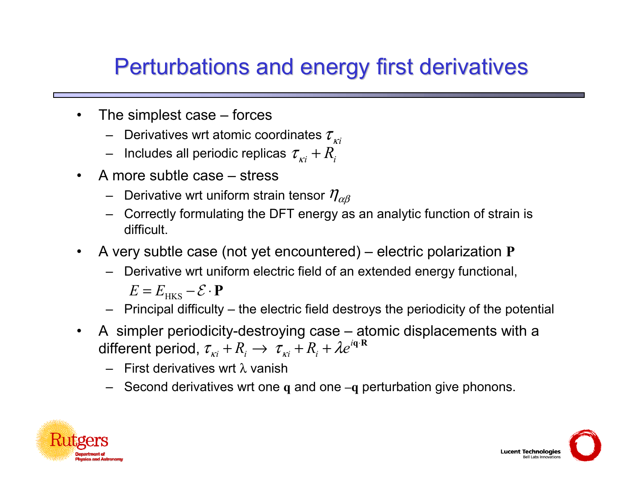#### Perturbations and energy first derivatives

- $\bullet$  The simplest case – forces
	- $-$  Derivatives wrt atomic coordinates  $\tau_{_{Ki}}$
	- $\,$  Includes all periodic replicas  $\,tau_{\scriptscriptstyle{xi}}^{} + R_{\scriptscriptstyle{i}}^{}$
- • A more subtle case – stress
	- $\,$  Derivative wrt uniform strain tensor  $\,\eta_{\alpha\beta}^{}$
	- Correctly formulating the DFT energy as an analytic function of strain is difficult.
- • A very subtle case (not yet encountered) – electric polarization **P**
	- Derivative wrt uniform electric field of an extended energy functional,
		- $E = E$ <sub>HKS</sub>  $\mathcal{E} \cdot \mathbf{P}$
	- Principal difficulty the electric field destroys the periodicity of the potential
- • A simpler periodicity-destroying case – atomic displacements with a different period,  $\tau_{\scriptscriptstyle{Ki}} + R_{\scriptscriptstyle{i}} \rightarrow \tau_{\scriptscriptstyle{Ki}} + R_{\scriptscriptstyle{i}} + \lambda e^{i{\bf q}\cdot{\bf R}}$ 
	- First derivatives wrt λ vanish
	- Second derivatives wrt one **q** and one **–q** perturbation give phonons.



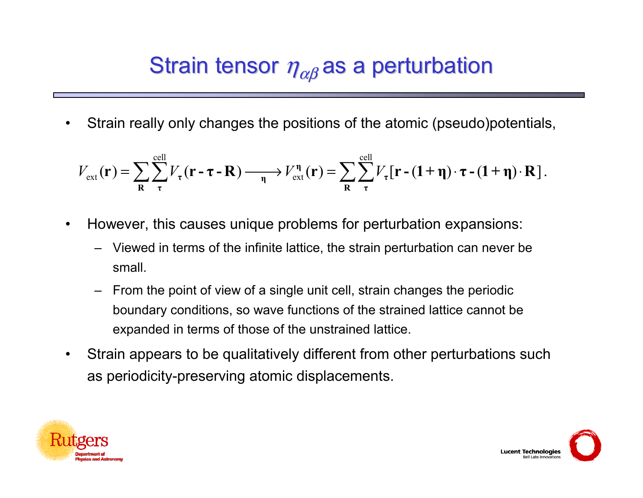# Strain tensor  $\eta_{\alpha\beta}$  as a perturbation

•Strain really only changes the positions of the atomic (pseudo)potentials,

$$
V_{\text{ext}}(\mathbf{r}) = \sum_{\mathbf{R}} \sum_{\tau}^{\text{cell}} V_{\tau}(\mathbf{r} - \tau - \mathbf{R}) \longrightarrow V_{\text{ext}}^{\eta}(\mathbf{r}) = \sum_{\mathbf{R}} \sum_{\tau}^{\text{cell}} V_{\tau}[\mathbf{r} - (1 + \eta) \cdot \tau - (1 + \eta) \cdot \mathbf{R}].
$$

- $\bullet$  However, this causes unique problems for perturbation expansions:
	- Viewed in terms of the infinite lattice, the strain perturbation can never be small.
	- From the point of view of a single unit cell, strain changes the periodic boundary conditions, so wave functions of the strained lattice cannot be expanded in terms of those of the unstrained lattice.
- • Strain appears to be qualitatively different from other perturbations such as periodicity-preserving atomic displacements.



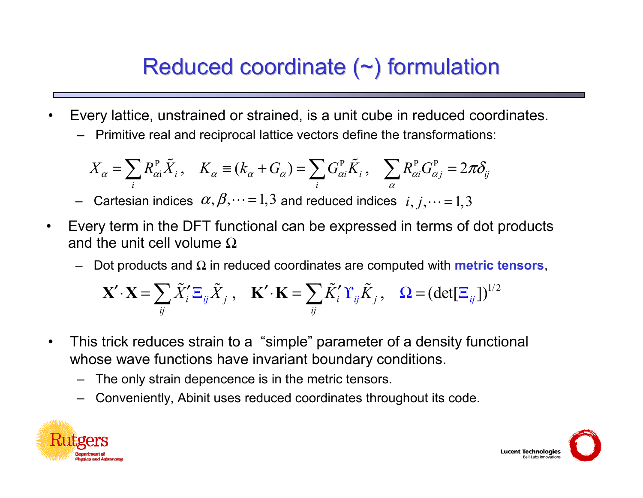# Reduced coordinate  $(\sim)$  formulation

- • Every lattice, unstrained or strained, is a unit cube in reduced coordinates.
	- –Primitive real and reciprocal lattice vectors define the transformations:

$$
X_{\alpha} = \sum_{i} R_{\alpha i}^{\mathrm{P}} \tilde{X}_{i}, \quad K_{\alpha} \equiv (k_{\alpha} + G_{\alpha}) = \sum_{i} G_{\alpha i}^{\mathrm{P}} \tilde{K}_{i}, \quad \sum_{\alpha} R_{\alpha i}^{\mathrm{P}} G_{\alpha j}^{\mathrm{P}} = 2\pi \delta_{ij}
$$

- Cartesian indices  $\alpha, \beta, \dots = 1,3$  and reduced indices  $i, j, \dots = 1,3$
- $\bullet$  Every term in the DFT functional can be expressed in terms of dot products and the unit cell volume  $\Omega$ 
	- –Dot products and  $\Omega$  in reduced coordinates are computed with **metric tensors**,

$$
\mathbf{X}' \cdot \mathbf{X} = \sum_{ij} \tilde{X}'_i \Xi_{ij} \tilde{X}_j , \quad \mathbf{K}' \cdot \mathbf{K} = \sum_{ij} \tilde{K}'_i \Upsilon_{ij} \tilde{K}_j , \quad \Omega = (\det[\Xi_{ij}])^{1/2}
$$

- • This trick reduces strain to a "simple" parameter of a density functional whose wave functions have invariant boundary conditions.
	- The only strain depencence is in the metric tensors.
	- –Conveniently, Abinit uses reduced coordinates throughout its code.



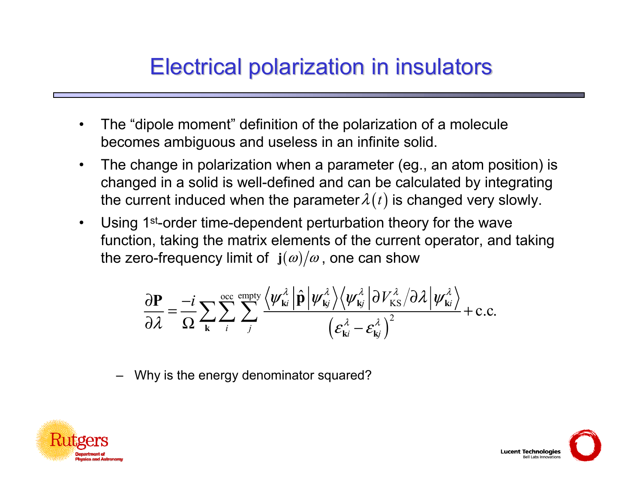# Electrical polarization in insulators Electrical polarization in insulators

- • The "dipole moment" definition of the polarization of a molecule becomes ambiguous and useless in an infinite solid.
- $\bullet$  The change in polarization when a parameter (eg., an atom position) is changed in a solid is well-defined and can be calculated by integrating the current induced when the parameter $\lambda\left( t\right)$  is changed very slowly.
- $\bullet$  Using 1st-order time-dependent perturbation theory for the wave function, taking the matrix elements of the current operator, and taking the zero-frequency limit of  $\, {\bf j}(\omega) / \omega$  , one can show

$$
\frac{\partial \mathbf{P}}{\partial \lambda} = -\frac{i}{\Omega} \sum_{\mathbf{k}} \sum_{i} \sum_{j}^{\text{occ empty}} \frac{\langle \psi_{\mathbf{k}i}^{\lambda} | \hat{\mathbf{p}} | \psi_{\mathbf{k}j}^{\lambda} \rangle \langle \psi_{\mathbf{k}j}^{\lambda} | \partial V_{\text{KS}}^{\lambda} / \partial \lambda | \psi_{\mathbf{k}i}^{\lambda} \rangle}{\left(\varepsilon_{\mathbf{k}i}^{\lambda} - \varepsilon_{\mathbf{k}j}^{\lambda}\right)^{2}} + \text{c.c.}
$$

–Why is the energy denominator squared?



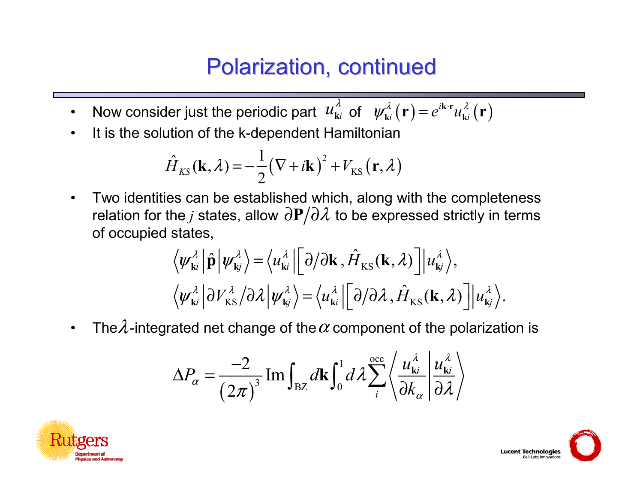#### Polarization, continued

- $\bullet$ Now consider just the periodic part  $u_{ki}^{\lambda}$  of  $\psi_{ki}^{\lambda}(\mathbf{r}) = e^{i\mathbf{k}\cdot\mathbf{r}}u_{ki}^{\lambda}(\mathbf{r})$ λ **k**
- •It is the solution of the k-dependent Hamiltonian

$$
\hat{H}_{KS}(\mathbf{k},\lambda) = -\frac{1}{2}(\nabla + i\mathbf{k})^2 + V_{KS}(\mathbf{r},\lambda)
$$

 $\bullet$  Two identities can be established which, along with the completeness relation for the  $j$  states, allow  $\partial \mathbf{P} / \partial \mathcal{X}$  to be expressed strictly in terms of occupied states,

$$
\langle \psi_{ki}^{\lambda} | \hat{\mathbf{p}} | \psi_{kj}^{\lambda} \rangle = \langle u_{ki}^{\lambda} | [\partial/\partial \mathbf{k}, \hat{H}_{KS}(\mathbf{k}, \lambda)] | u_{kj}^{\lambda} \rangle, \langle \psi_{ki}^{\lambda} | \partial V_{KS}^{\lambda} / \partial \lambda | \psi_{kj}^{\lambda} \rangle = \langle u_{ki}^{\lambda} | [\partial/\partial \lambda, \hat{H}_{KS}(\mathbf{k}, \lambda)] | u_{kj}^{\lambda} \rangle.
$$

 $\bullet$ The $\lambda$ -integrated net change of the  $\alpha$  component of the polarization is

$$
\Delta P_{\alpha} = \frac{-2}{\left(2\pi\right)^3} \operatorname{Im} \int_{\mathrm{BZ}} d\mathbf{k} \int_0^1 d\lambda \sum_i^{\mathrm{occ}} \left\langle \frac{u_{\mathbf{k}i}^{\lambda}}{\partial k_{\alpha}} \middle| \frac{u_{\mathbf{k}i}^{\lambda}}{\partial \lambda} \right\rangle
$$



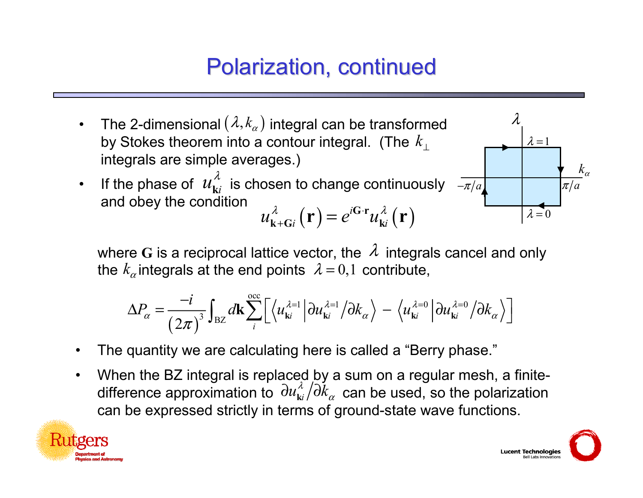# Polarization, continued

- $\bullet$ The 2-dimensional  $(\lambda, k_{\alpha})$  integral can be transformed by Stokes theorem into a contour integral. (The *k*⊥integrals are simple averages.)
- •If the phase of  $u_{\mathbf{k}i}^{\prime\prime}$  is chosen to change continuously and obey the condition **G <sup>r</sup>**λ **k**

$$
u_{\mathbf{k}+\mathbf{G}i}^{\lambda}\left(\mathbf{r}\right)=e^{i\mathbf{G}\cdot\mathbf{r}}u_{\mathbf{k}i}^{\lambda}\left(\mathbf{r}\right)
$$



where G is a reciprocal lattice vector, the  $\lambda$  integrals cancel and only the  $k_\alpha$ integrals at the end points  $\,\lambda=0,1\,$  contribute,

$$
\Delta P_{\alpha} = \frac{-i}{\left(2\pi\right)^3} \int_{\text{BZ}} d\mathbf{k} \sum_{i}^{\text{occ}} \left[ \left\langle u_{\mathbf{k}i}^{\lambda=1} \left| \partial u_{\mathbf{k}i}^{\lambda=1} / \partial k_{\alpha} \right\rangle - \left\langle u_{\mathbf{k}i}^{\lambda=0} \left| \partial u_{\mathbf{k}i}^{\lambda=0} / \partial k_{\alpha} \right\rangle \right] \right]
$$

- •The quantity we are calculating here is called a "Berry phase."
- • When the BZ integral is replaced by a sum on a regular mesh, a finitedifference approximation to  $\frac{\partial u_{ki}^{\lambda}}{\partial k_{\alpha}}$  can be used, so the polarization can be expressed strictly in terms of ground-state wave functions.



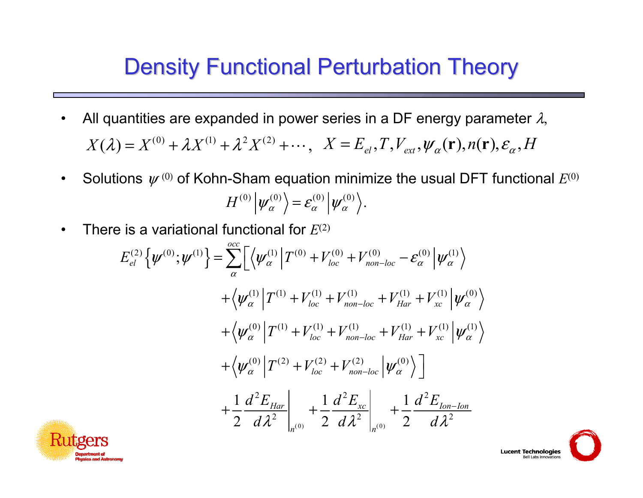#### **Density Functional Perturbation Theory**

- $\bullet$ All quantities are expanded in power series in a DF energy parameter  $\lambda,$  $X(\lambda) = X^{(0)} + \lambda X^{(1)} + \lambda^2 X^{(2)} + \cdots,$  $\cdots, X = E_{el}, T, V_{ext}, \psi_{\alpha}(\mathbf{r}), n(\mathbf{r}), \varepsilon_{\alpha}, H$
- $\bullet$ Solutions  $\,\boldsymbol{\psi}^{\,(0)}$  of Kohn-Sham equation minimize the usual DFT functional  $E^{(0)}$  $H^{(0)}\left|\psi_{\alpha}^{(0)}\right\rangle$  =  $\mathcal{E}_{\alpha}^{(0)}\left|\psi_{\alpha}^{(0)}\right\rangle$ .
- $\bullet$ There is a variational functional for *E*(2)

$$
E_{el}^{(2)}\{\psi^{(0)};\psi^{(1)}\} = \sum_{\alpha}^{\text{occ}} \left[ \left\langle \psi_{\alpha}^{(1)} \middle| T^{(0)} + V_{loc}^{(0)} + V_{non-loc}^{(0)} - \varepsilon_{\alpha}^{(0)} \middle| \psi_{\alpha}^{(1)} \right\rangle \right. \\ \left. + \left\langle \psi_{\alpha}^{(1)} \middle| T^{(1)} + V_{loc}^{(1)} + V_{non-loc}^{(1)} + V_{Har}^{(1)} + V_{xc}^{(1)} \middle| \psi_{\alpha}^{(0)} \right\rangle \right. \\ \left. + \left\langle \psi_{\alpha}^{(0)} \middle| T^{(1)} + V_{loc}^{(1)} + V_{non-loc}^{(1)} + V_{Har}^{(1)} + V_{xc}^{(1)} \middle| \psi_{\alpha}^{(1)} \right\rangle \right. \\ \left. + \left\langle \psi_{\alpha}^{(0)} \middle| T^{(2)} + V_{loc}^{(2)} + V_{non-loc}^{(2)} \middle| \psi_{\alpha}^{(0)} \right\rangle \right] \\ \left. + \frac{1}{2} \frac{d^2 E_{Har}}{d\lambda^2} \middle|_{n^{(0)}} + \frac{1}{2} \frac{d^2 E_{xc}}{d\lambda^2} \middle|_{n^{(0)}} + \frac{1}{2} \frac{d^2 E_{Ion - lon}}{d\lambda^2} \right)
$$

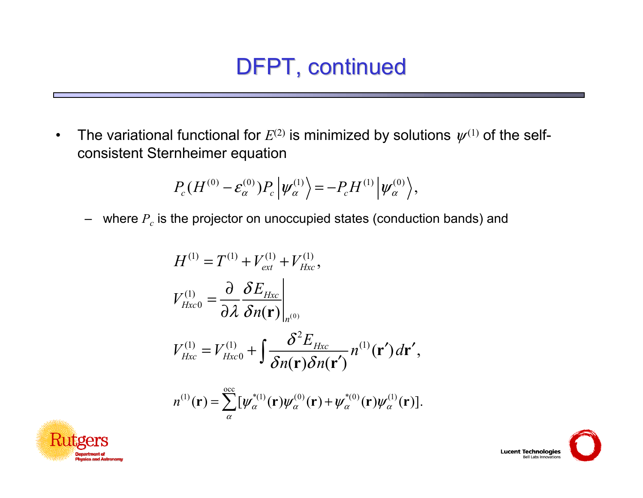# DFPT, continued

•The variational functional for  $E^{(2)}$  is minimized by solutions  $\psi^{(1)}$  of the selfconsistent Sternheimer equation

$$
P_c(H^{(0)} - \varepsilon_\alpha^{(0)}) P_c |\psi_\alpha^{(1)} \rangle = -P_c H^{(1)} |\psi_\alpha^{(0)} \rangle,
$$

–  $\,$  where  $P_{c}$  is the projector on unoccupied states (conduction bands) and

$$
H^{(1)} = T^{(1)} + V_{ext}^{(1)} + V_{Hxc}^{(1)},
$$
  
\n
$$
V_{Hxc0}^{(1)} = \frac{\partial}{\partial \lambda} \frac{\delta E_{Hxc}}{\delta n(\mathbf{r})}\Big|_{n^{(0)}}
$$
  
\n
$$
V_{Hxc}^{(1)} = V_{Hxc0}^{(1)} + \int \frac{\delta^2 E_{Hxc}}{\delta n(\mathbf{r}) \delta n(\mathbf{r}')} n^{(1)}(\mathbf{r}') d\mathbf{r}',
$$
  
\n
$$
n^{(1)}(\mathbf{r}) = \sum_{\alpha}^{\text{occ}} [\psi_{\alpha}^{*(1)}(\mathbf{r}) \psi_{\alpha}^{(0)}(\mathbf{r}) + \psi_{\alpha}^{*(0)}(\mathbf{r}) \psi_{\alpha}^{(1)}(\mathbf{r})].
$$



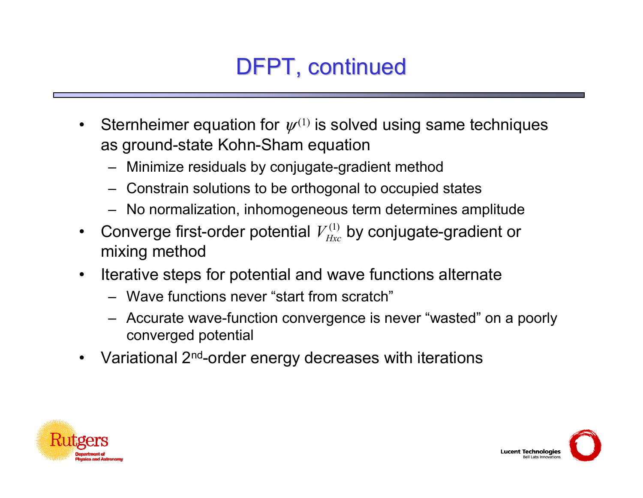# DFPT, continued

- $\bullet$ Sternheimer equation for  $\psi^{(1)}$  is solved using same techniques as ground-state Kohn-Sham equation
	- Minimize residuals by conjugate-gradient method
	- Constrain solutions to be orthogonal to occupied states
	- No normalization, inhomogeneous term determines amplitude
- $\bullet$ Converge first-order potential  $V_{Hxc}^{(1)}$  by conjugate-gradient or mixing method
- $\bullet$  Iterative steps for potential and wave functions alternate
	- Wave functions never "start from scratch"
	- Accurate wave-function convergence is never "wasted" on a poorly converged potential
- $\bullet$ Variational 2<sup>nd</sup>-order energy decreases with iterations



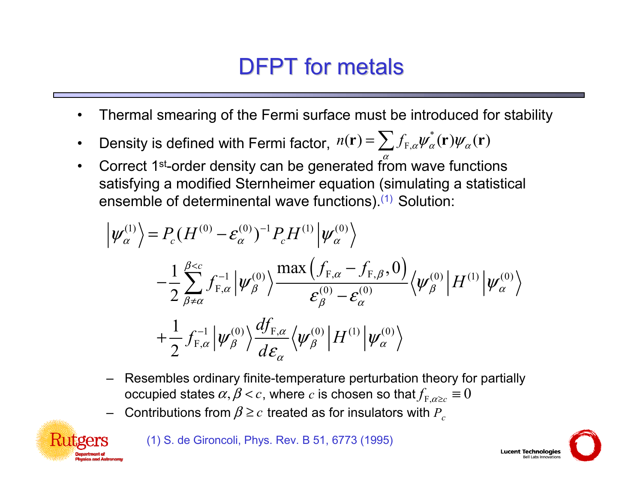# DFPT for metals

- •Thermal smearing of the Fermi surface must be introduced for stability
- $\bullet$ Density is defined with Fermi factor,  $n(\mathbf{r}) = \sum f_{F,\alpha} \psi_{\alpha}^*(\mathbf{r}) \psi_{\alpha}(\mathbf{r})$
- $\bullet$ Correct 1<sup>st</sup>-order density can be generated from wave functions satisfying a modified Sternheimer equation (simulating a statistical ensemble of determinental wave functions).<sup>(1)</sup> Solution:

$$
\left|\psi_{\alpha}^{(1)}\right\rangle = P_c (H^{(0)} - \varepsilon_{\alpha}^{(0)})^{-1} P_c H^{(1)} \left|\psi_{\alpha}^{(0)}\right\rangle \n- \frac{1}{2} \sum_{\beta \neq \alpha}^{\beta < c} f_{F,\alpha}^{-1} \left|\psi_{\beta}^{(0)}\right\rangle \frac{\max\left(f_{F,\alpha} - f_{F,\beta}, 0\right)}{\varepsilon_{\beta}^{(0)} - \varepsilon_{\alpha}^{(0)}} \left\langle \psi_{\beta}^{(0)} \right| H^{(1)} \left|\psi_{\alpha}^{(0)}\right\rangle \n+ \frac{1}{2} f_{F,\alpha}^{-1} \left|\psi_{\beta}^{(0)}\right\rangle \frac{df_{F,\alpha}}{d\varepsilon_{\alpha}} \left\langle \psi_{\beta}^{(0)} \right| H^{(1)} \left|\psi_{\alpha}^{(0)}\right\rangle
$$

- – Resembles ordinary finite-temperature perturbation theory for partially  $\mathsf{occupied}\ \mathsf{states}\ \alpha,\beta\!<\!c,\ \mathsf{where}\ c$  is chosen so that $f_{_{\mathrm{F},\alpha\geq c}}\equiv 0$
- –Contributions from  $\beta$  ≥  $c$  treated as for insulators with  $P_c$

(1) S. de Gironcoli, Phys. Rev. B 51, 6773 (1995)



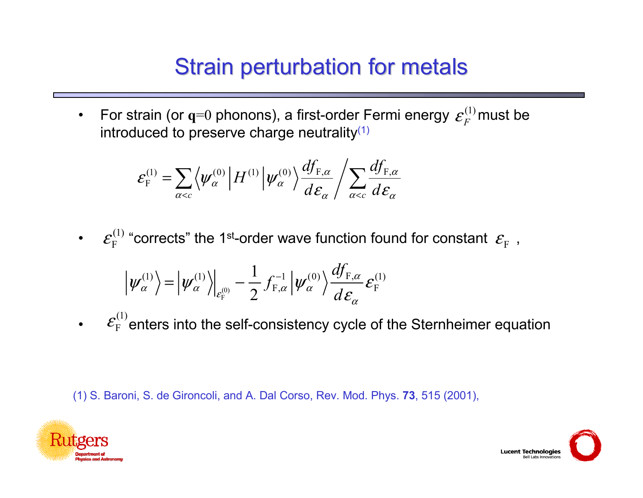# **Strain perturbation for metals**

 $\bullet$ For strain (or  $q=0$  phonons), a first-order Fermi energy  $\varepsilon_{\rm F}^{(1)}$ must be introduced to preserve charge neutrality<sup>(1)</sup>  $\mathcal{E}_F$ 

$$
\varepsilon_{\rm F}^{(1)} = \sum_{\alpha < c} \left\langle \psi_\alpha^{(0)} \left| H^{(1)} \right| \psi_\alpha^{(0)} \right\rangle \frac{df_{{\rm F},\alpha}}{d\varepsilon_\alpha} / \sum_{\alpha < c} \frac{df_{{\rm F},\alpha}}{d\varepsilon_\alpha}
$$

• $\mathcal{E}_{\rm E}^{(1)}$  "corrects" the 1st-order wave function found for constant  $\mathcal{E}_{\rm E}$  ,  $\mathcal{E}_\mathrm{F}^\mathrm{CFT}$  "corrects" the 1st-order wave function found for constant  $\mathcal{E}_\mathrm{F}$ 

$$
\left|\psi_{\alpha}^{(1)}\right\rangle = \left|\psi_{\alpha}^{(1)}\right\rangle\Big|_{\varepsilon_{\mathrm{F}}^{(0)}} - \frac{1}{2} f_{\mathrm{F},\alpha}^{-1} \left|\psi_{\alpha}^{(0)}\right\rangle \frac{df_{\mathrm{F},\alpha}}{d\varepsilon_{\alpha}} \varepsilon_{\mathrm{F}}^{(1)}
$$

• enters into the self-consistency cycle of the Sternheimer equation (1)  $\mathcal{E}_{\rm F}^{\rm c}$ 

(1) S. Baroni, S. de Gironcoli, and A. Dal Corso, Rev. Mod. Phys. **73**, 515 (2001),



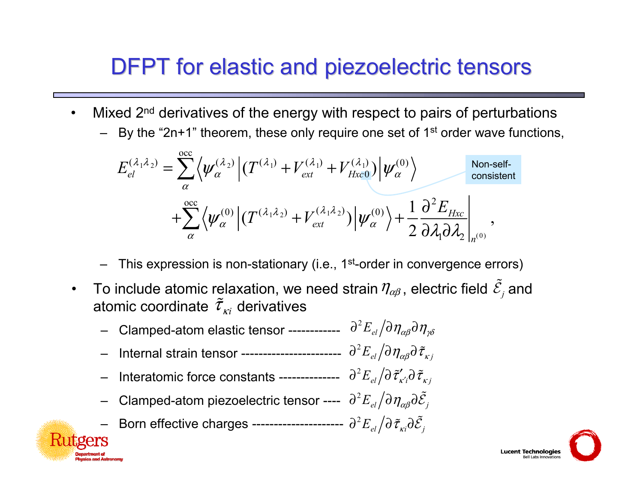#### DFPT for elastic and piezoelectric tensors

- •Mixed 2<sup>nd</sup> derivatives of the energy with respect to pairs of perturbations
	- By the "2n+1" theorem, these only require one set of 1<sup>st</sup> order wave functions,

$$
E_{el}^{(\lambda_1 \lambda_2)} = \sum_{\alpha}^{\text{occ}} \left\langle \psi_{\alpha}^{(\lambda_2)} \left| (T^{(\lambda_1)} + V_{ext}^{(\lambda_1)} + V_{Hxc0}^{(\lambda_1)}) \right| \psi_{\alpha}^{(0)} \right\rangle
$$
\n
$$
+ \sum_{\alpha}^{\text{occ}} \left\langle \psi_{\alpha}^{(0)} \left| (T^{(\lambda_1 \lambda_2)} + V_{ext}^{(\lambda_1 \lambda_2)}) \right| \psi_{\alpha}^{(0)} \right\rangle + \frac{1}{2} \frac{\partial^2 E_{Hxc}}{\partial \lambda_1 \partial \lambda_2} \bigg|_{n^{(0)}},
$$
\nNon-self-

- This expression is non-stationary (i.e., 1<sup>st</sup>-order in convergence errors)
- $\bullet$ To include atomic relaxation, we need strain  $\eta_{\alpha\beta}$  , electric field  $\mathcal{E}_{_f}$  and atomic coordinate  $\tilde{\tau}_{\scriptscriptstyle \chi i}$  derivatives ~  $\eta_{\alpha\beta}$ , electric field  $\mathcal E$ 
	- –Clamped-atom elastic tensor --------------  $\partial^2 E_{el}/\partial \eta_{\alpha\beta} \partial \eta_{\gamma\delta}$
	- Internal strain tensor -----------------------  $\partial^{2}E_{el}/\partial\eta_{\alpha\beta}\partial\tilde{\tau}_{\kappa j}$
	- Interatomic force constants --------------  $\partial^{2}E_{el} \big/ \partial \, \widetilde{\tau}^{\prime}_{\kappa^{\prime}i} \partial \, \widetilde{\tau}_{\kappa j}$
	- Clamped-atom piezoelectric tensor ----  $\partial^2 E_{el}/\partial \eta_{\alpha\beta}\partial \tilde{\mathcal{E}}_{j}$  ${\cal E}$
	- Born effective charges -----------------------  $\partial^2 E_{el}/\partial \, \tilde{\tau}_{\kappa i}\partial \tilde{\mathcal{E}}_{j}$  $\tilde{\tau}$  as  $\tilde{\tau}_{\nu i}\partial \mathcal{E}$



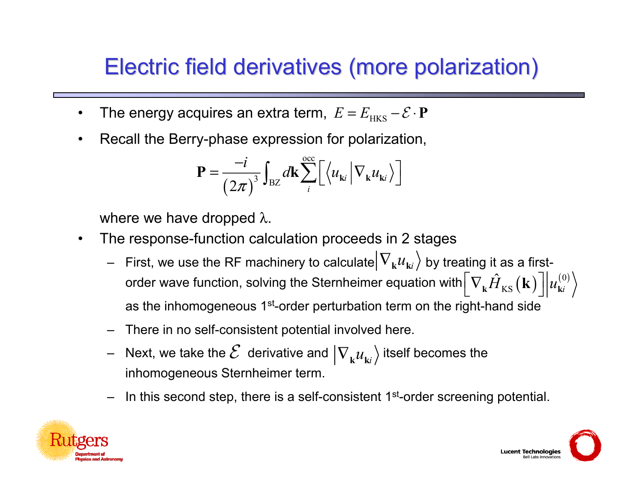#### Electric field derivatives (more polarization) Electric field derivatives (more polarization)

- •The energy acquires an extra term,  $E = E_{\text{\tiny HKS}} - \mathcal{E} \cdot \mathbf{P}$
- $\bullet$ Recall the Berry-phase expression for polarization,

$$
\mathbf{P} = \frac{-i}{\left(2\pi\right)^3} \int_{\text{BZ}} d\mathbf{k} \sum_{i}^{\text{occ}} \left[ \left\langle u_{\mathbf{k}i} \middle| \nabla_{\mathbf{k}} u_{\mathbf{k}i} \right\rangle \right]
$$

where we have dropped λ.

- • The response-function calculation proceeds in 2 stages
	- $-$  First, we use the RF machinery to calculate $\big|\nabla_{_\mathbf{k}}u_{_{\mathbf{k}i}}\big\rangle$  by treating it as a firstorder wave function, solving the Sternheimer equation with $\left[\nabla_\mathbf{k} \hat{H}_{\mathrm{KS}}\big(\mathbf{k}\big)\right]\!\!\left[u_{\mathrm{ki}}^{(0)}\right]$ as the inhomogeneous 1<sup>st</sup>-order perturbation term on the right-hand side
	- –There in no self-consistent potential involved here.
	- –Next, we take the  $\mathcal E\,$  derivative and  $\ket{\nabla_{_\mathbf{k}} \mathcal u_{_{\mathbf{k}i}}}$  itself becomes the inhomogeneous Sternheimer term.
	- –In this second step, there is a self-consistent 1<sup>st</sup>-order screening potential.



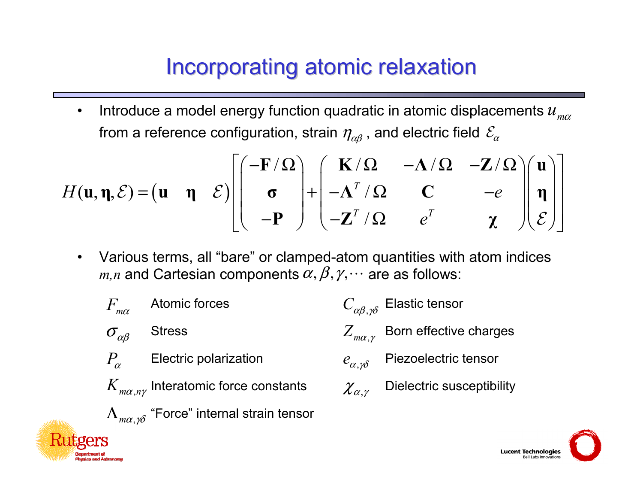#### Incorporating atomic relaxation

 $\bullet$ Introduce a model energy function quadratic in atomic displacements  $u_{\scriptscriptstyle m\alpha}$ from a reference configuration, strain  $\eta_{\alpha\beta}$  , and electric field  $\mathcal{E}_{\alpha}$ 

$$
H(\mathbf{u}, \mathbf{\eta}, \mathcal{E}) = (\mathbf{u} \quad \mathbf{\eta} \quad \mathcal{E}) \left[ \begin{pmatrix} -\mathbf{F}/\Omega \\ \sigma \\ -\mathbf{P} \end{pmatrix} + \begin{pmatrix} \mathbf{K}/\Omega & -\Lambda/\Omega & -\mathbf{Z}/\Omega \\ -\Lambda^T/\Omega & \mathbf{C} & -e \\ -\mathbf{Z}^T/\Omega & e^T & \chi \end{pmatrix} \begin{pmatrix} \mathbf{u} \\ \mathbf{\eta} \\ \mathcal{E} \end{pmatrix} \right]
$$

 $\bullet$  Various terms, all "bare" or clamped-atom quantities with atom indices  $m,n$  and Cartesian components  $\alpha,\beta,\gamma,\cdots$  are as follows: "

| $F_{m\alpha}$                    | Atomic forces                  | $C_{\alpha\beta,\gamma\delta}$ | Elastic tensor            |
|----------------------------------|--------------------------------|--------------------------------|---------------------------|
| $\sigma_{\alpha\beta}$           | Stress                         | $Z_{m\alpha,\gamma}$           | Born effective charges    |
| $P_{\alpha}$                     | Electric polarization          | $e_{\alpha,\gamma\delta}$      | Piezoelectric tensor      |
| $K_{m\alpha,n\gamma}$            | Interatomic force constants    | $\chi_{\alpha,\gamma}$         | Dielectric susceptibility |
| $\Lambda_{m\alpha,\gamma\delta}$ | "Force" internal strain tensor |                                |                           |

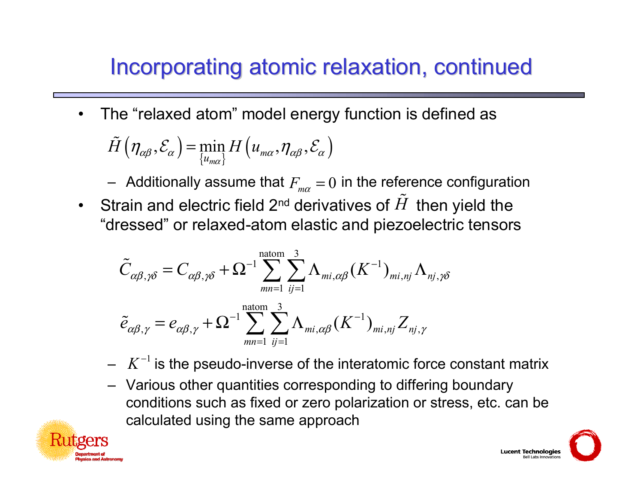# Incorporating atomic relaxation, continued

 $\bullet$ The "relaxed atom" model energy function is defined as

$$
\tilde{H}(\eta_{\alpha\beta}, \mathcal{E}_{\alpha}) = \min_{\{u_{m\alpha}\}} H(u_{m\alpha}, \eta_{\alpha\beta}, \mathcal{E}_{\alpha})
$$

 $-$  Additionally assume that  $F_{_{m\alpha}}=0$  in the reference configuration

•Strain and electric field 2<sup>nd</sup> derivatives of  $\tilde{H}$  then yield the "dressed" or relaxed-atom elastic and piezoelectric tensors

$$
\tilde{C}_{\alpha\beta,\gamma\delta} = C_{\alpha\beta,\gamma\delta} + \Omega^{-1} \sum_{mn=1}^{\text{natom}} \sum_{ij=1}^{3} \Lambda_{mi,\alpha\beta} (K^{-1})_{mi,nj} \Lambda_{nj,\gamma\delta}
$$

$$
\tilde{e}_{\alpha\beta,\gamma} = e_{\alpha\beta,\gamma} + \Omega^{-1} \sum_{mn=1}^{\text{natom}} \sum_{ij=1}^{3} \Lambda_{mi,\alpha\beta} (K^{-1})_{mi,nj} Z_{nj,\gamma}
$$

- $\ K^{-1}$  is the pseudo-inverse of the interatomic force constant matrix
- Various other quantities corresponding to differing boundary conditions such as fixed or zero polarization or stress, etc. can be calculated using the same approach



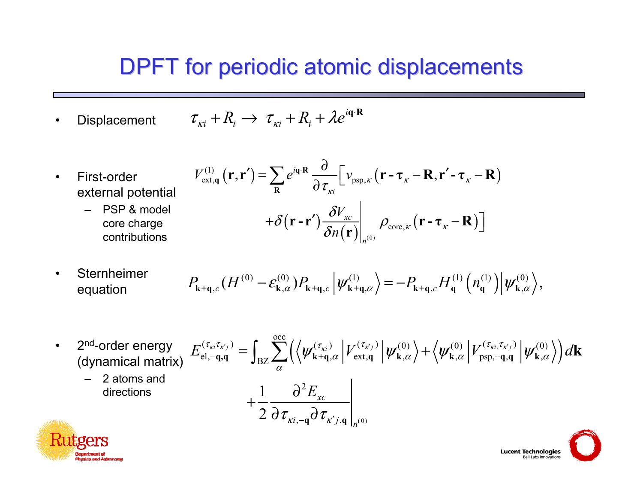#### DPFT for periodic atomic displacements

•**Displacement**  $\tau_{ki} + R_i \rightarrow \tau_{ki} + R_i + \lambda e^{i\mathbf{q} \cdot \mathbf{R}}$ 

(1)

- • First-order external potential
	- – PSP & model core charge contributions

$$
V_{\text{ext},q}^{(1)}(\mathbf{r},\mathbf{r}') = \sum_{\mathbf{R}} e^{i\mathbf{q}\cdot\mathbf{R}} \frac{\partial}{\partial \tau_{\kappa i}} \left[ v_{\text{psp},\kappa} (\mathbf{r} - \boldsymbol{\tau}_{\kappa} - \mathbf{R}, \mathbf{r}' - \boldsymbol{\tau}_{\kappa} - \mathbf{R}) \right]
$$

$$
+ \delta (\mathbf{r} - \mathbf{r}') \frac{\delta V_{\kappa c}}{\delta n(\mathbf{r})} \bigg|_{n^{(0)}} \rho_{\text{core},\kappa} (\mathbf{r} - \boldsymbol{\tau}_{\kappa} - \mathbf{R}) \bigg]
$$

• Sternheimerequation

$$
P_{\mathbf{k}+\mathbf{q},c}(H^{(0)}-\mathcal{E}_{\mathbf{k},\alpha}^{(0)})P_{\mathbf{k}+\mathbf{q},c}\left|\psi_{\mathbf{k}+\mathbf{q},\alpha}^{(1)}\right\rangle=-P_{\mathbf{k}+\mathbf{q},c}H_{\mathbf{q}}^{(1)}\left(n_{\mathbf{q}}^{(1)}\right)\left|\psi_{\mathbf{k},\alpha}^{(0)}\right\rangle,
$$

• 2<sup>nd</sup>-order energy 
$$
E_{el,-q,q}^{(\tau_{ki}\tau_{k'j})} = \int_{BZ} \sum_{\alpha}^{\infty} \left( \left\langle \psi_{k+q,\alpha}^{(\tau_{ki})} \middle| V_{ext,q}^{(\tau_{kj})} \middle| \psi_{k,\alpha}^{(0)} \right\rangle + \left\langle \psi_{k,\alpha}^{(0)} \middle| V_{psp,-q,q}^{(\tau_{ki},\tau_{k'j})} \middle| \psi_{k,\alpha}^{(0)} \right\rangle \right) d\mathbf{k}
$$
  
\n– 2 atoms and directions  
\n
$$
+ \frac{1}{2} \frac{\partial^2 E_{xc}}{\partial \tau_{\kappa i,-q} \partial \tau_{\kappa' j,q}} \Big|_{n^{(0)}}
$$



**Lucent Technologies** Bell Labs Innovations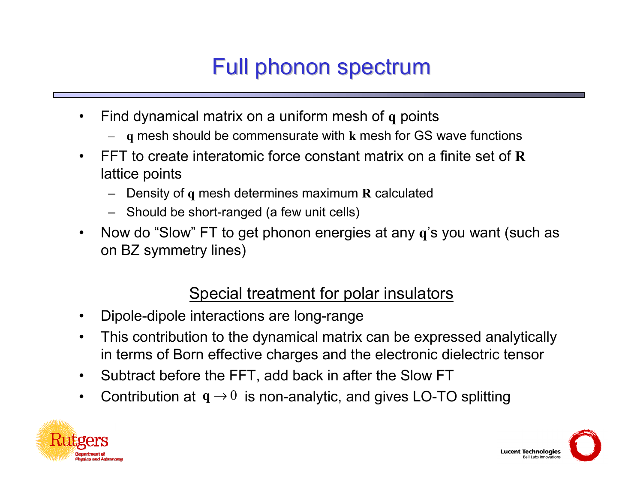# Full phonon spectrum

- $\bullet$  Find dynamical matrix on a uniform mesh of **q** points
	- **q** mesh should be commensurate with **k** mesh for GS wave functions
- • FFT to create interatomic force constant matrix on a finite set of **R**lattice points
	- Density of **q** mesh determines maximum **R** calculated
	- Should be short-ranged (a few unit cells)
- $\bullet$  Now do "Slow" FT to get phonon energies at any **q**'s you want (such as on BZ symmetry lines)

#### Special treatment for polar insulators

- •Dipole-dipole interactions are long-range
- $\bullet$  This contribution to the dynamical matrix can be expressed analytically in terms of Born effective charges and the electronic dielectric tensor
- $\bullet$ Subtract before the FFT, add back in after the Slow FT
- •Contribution at  $q \rightarrow 0$  is non-analytic, and gives LO-TO splitting



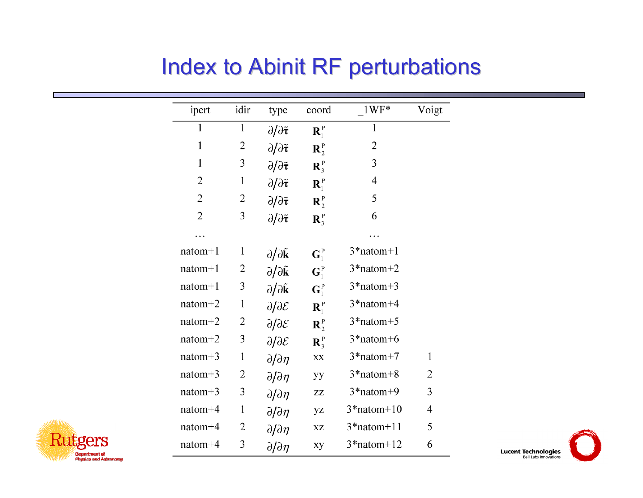#### Index to Abinit RF perturbations

| ipert          | idir           | type                                          | coord            | $1WF*$         | Voigt        |
|----------------|----------------|-----------------------------------------------|------------------|----------------|--------------|
| 1              | $\mathbf{1}$   | $\partial/\partial \tilde{\tau}$              | $\mathbf{R}_1^P$ | $\mathbf{1}$   |              |
| $\mathbf{1}$   | $\overline{c}$ | $\partial/\partial \tilde{\tau}$              | $\mathbf{R}_2^P$ | $\overline{2}$ |              |
| $\mathbf{1}$   | 3              | $\partial/\partial \tilde{\tau}$              | $\mathbf{R}_3^P$ | 3              |              |
| $\overline{2}$ | $\mathbf{1}$   | $\partial/\partial \tilde{\tau}$              | $\mathbf{R}_1^P$ | 4              |              |
| $\overline{2}$ | $\overline{c}$ | $\partial/\partial \tilde{\tau}$              | $\mathbf{R}_2^P$ | 5              |              |
| $\overline{2}$ | 3              | $\partial/\partial \tilde{\boldsymbol{\tau}}$ | $\mathbf{R}_3^P$ | 6              |              |
|                |                |                                               |                  |                |              |
| $natom+1$      | 1              | $\partial/\partial \tilde{\mathbf{k}}$        | $G_1^P$          | $3*$ natom+1   |              |
| $natom+1$      | 2              | $\partial/\partial \tilde{\mathbf{k}}$        | $G_1^P$          | $3*$ natom+2   |              |
| $natom+1$      | 3              | $\partial/\partial \tilde{\mathbf{k}}$        | $G_1^P$          | $3*$ natom+3   |              |
| $natom+2$      | $\mathbf{1}$   | $\partial/\partial \mathcal{E}$               | $\mathbf{R}_1^P$ | $3*$ natom+4   |              |
| $natom+2$      | $\overline{2}$ | $\partial/\partial \mathcal{E}$               | $\mathbf{R}_2^P$ | $3*$ natom+5   |              |
| $natom+2$      | 3              | $\partial/\partial \mathcal{E}$               | $\mathbf{R}_3^P$ | $3*$ natom+6   |              |
| $natom+3$      | $\mathbf{1}$   | $\partial/\partial\eta$                       | XX               | $3*$ natom+7   | $\mathbf{1}$ |
| $natom+3$      | $\overline{2}$ | $\partial/\partial\eta$                       | yу               | $3*$ natom+8   | 2            |
| $natom+3$      | 3              | $\partial/\partial\eta$                       | ZZ               | $3*$ natom+9   | 3            |
| natom+4        | 1              | $\partial/\partial\eta$                       | yz               | $3*$ natom+10  | 4            |
| $natom+4$      | 2              | $\partial/\partial\eta$                       | XZ               | $3*$ natom+11  | 5            |
| natom+4        | 3              | $\partial/\partial\eta$                       | xy               | $3*$ natom+12  | 6            |